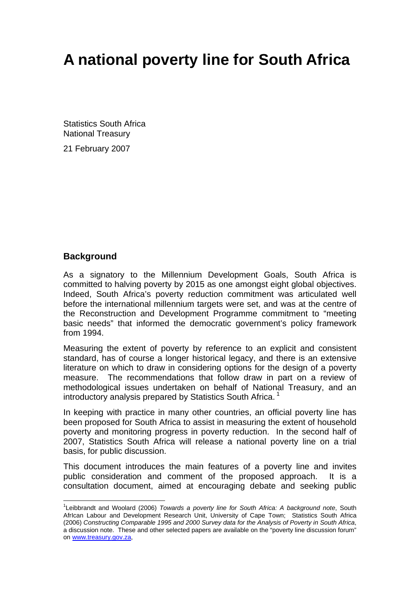# **A national poverty line for South Africa**

Statistics South Africa National Treasury

21 February 2007

#### **Background**

 $\overline{a}$ 

As a signatory to the Millennium Development Goals, South Africa is committed to halving poverty by 2015 as one amongst eight global objectives. Indeed, South Africa's poverty reduction commitment was articulated well before the international millennium targets were set, and was at the centre of the Reconstruction and Development Programme commitment to "meeting basic needs" that informed the democratic government's policy framework from 1994.

Measuring the extent of poverty by reference to an explicit and consistent standard, has of course a longer historical legacy, and there is an extensive literature on which to draw in considering options for the design of a poverty measure. The recommendations that follow draw in part on a review of methodological issues undertaken on behalf of National Treasury, and an introductory analysis prepared by Statistics South Africa.<sup>1</sup>

In keeping with practice in many other countries, an official poverty line has been proposed for South Africa to assist in measuring the extent of household poverty and monitoring progress in poverty reduction. In the second half of 2007, Statistics South Africa will release a national poverty line on a trial basis, for public discussion.

This document introduces the main features of a poverty line and invites public consideration and comment of the proposed approach. It is a consultation document, aimed at encouraging debate and seeking public

<sup>&</sup>lt;sup>1</sup>Leibbrandt and Woolard (2006) *Towards a poverty line for South Africa: A background note*, South AfrIcan Labour and Development Research Unit, University of Cape Town; Statistics South Africa (2006) *Constructing Comparable 1995 and 2000 Survey data for the Analysis of Poverty in South Africa*, a discussion note. These and other selected papers are available on the "poverty line discussion forum" on www.treasury.gov.za,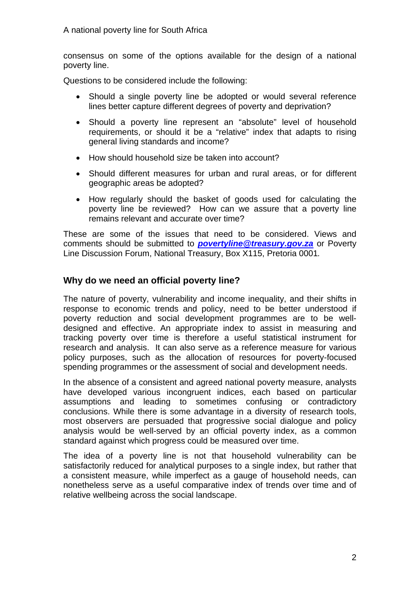consensus on some of the options available for the design of a national poverty line.

Questions to be considered include the following:

- Should a single poverty line be adopted or would several reference lines better capture different degrees of poverty and deprivation?
- Should a poverty line represent an "absolute" level of household requirements, or should it be a "relative" index that adapts to rising general living standards and income?
- How should household size be taken into account?
- Should different measures for urban and rural areas, or for different geographic areas be adopted?
- How regularly should the basket of goods used for calculating the poverty line be reviewed? How can we assure that a poverty line remains relevant and accurate over time?

These are some of the issues that need to be considered. Views and comments should be submitted to *povertyline@treasury.gov.za* or Poverty Line Discussion Forum, National Treasury, Box X115, Pretoria 0001*.* 

## **Why do we need an official poverty line?**

The nature of poverty, vulnerability and income inequality, and their shifts in response to economic trends and policy, need to be better understood if poverty reduction and social development programmes are to be welldesigned and effective. An appropriate index to assist in measuring and tracking poverty over time is therefore a useful statistical instrument for research and analysis. It can also serve as a reference measure for various policy purposes, such as the allocation of resources for poverty-focused spending programmes or the assessment of social and development needs.

In the absence of a consistent and agreed national poverty measure, analysts have developed various incongruent indices, each based on particular assumptions and leading to sometimes confusing or contradictory conclusions. While there is some advantage in a diversity of research tools, most observers are persuaded that progressive social dialogue and policy analysis would be well-served by an official poverty index, as a common standard against which progress could be measured over time.

The idea of a poverty line is not that household vulnerability can be satisfactorily reduced for analytical purposes to a single index, but rather that a consistent measure, while imperfect as a gauge of household needs, can nonetheless serve as a useful comparative index of trends over time and of relative wellbeing across the social landscape.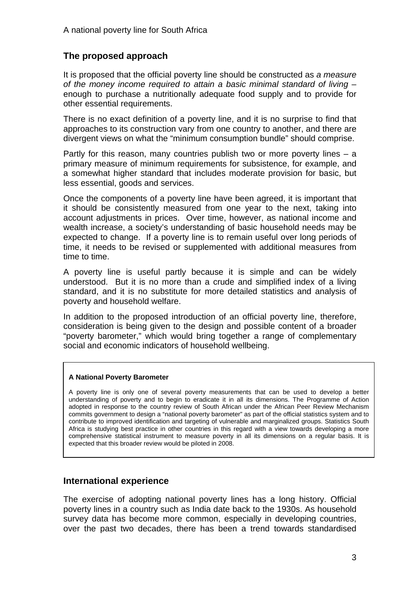# **The proposed approach**

It is proposed that the official poverty line should be constructed as *a measure of the money income required to attain a basic minimal standard of living* – enough to purchase a nutritionally adequate food supply and to provide for other essential requirements.

There is no exact definition of a poverty line, and it is no surprise to find that approaches to its construction vary from one country to another, and there are divergent views on what the "minimum consumption bundle" should comprise.

Partly for this reason, many countries publish two or more poverty lines – a primary measure of minimum requirements for subsistence, for example, and a somewhat higher standard that includes moderate provision for basic, but less essential, goods and services.

Once the components of a poverty line have been agreed, it is important that it should be consistently measured from one year to the next, taking into account adjustments in prices. Over time, however, as national income and wealth increase, a society's understanding of basic household needs may be expected to change. If a poverty line is to remain useful over long periods of time, it needs to be revised or supplemented with additional measures from time to time.

A poverty line is useful partly because it is simple and can be widely understood. But it is no more than a crude and simplified index of a living standard, and it is no substitute for more detailed statistics and analysis of poverty and household welfare.

In addition to the proposed introduction of an official poverty line, therefore, consideration is being given to the design and possible content of a broader "poverty barometer," which would bring together a range of complementary social and economic indicators of household wellbeing.

#### **A National Poverty Barometer**

A poverty line is only one of several poverty measurements that can be used to develop a better understanding of poverty and to begin to eradicate it in all its dimensions. The Programme of Action adopted in response to the country review of South African under the African Peer Review Mechanism commits government to design a "national poverty barometer" as part of the official statistics system and to contribute to improved identification and targeting of vulnerable and marginalized groups. Statistics South Africa is studying best practice in other countries in this regard with a view towards developing a more comprehensive statistical instrument to measure poverty in all its dimensions on a regular basis. It is expected that this broader review would be piloted in 2008.

## **International experience**

The exercise of adopting national poverty lines has a long history. Official poverty lines in a country such as India date back to the 1930s. As household survey data has become more common, especially in developing countries, over the past two decades, there has been a trend towards standardised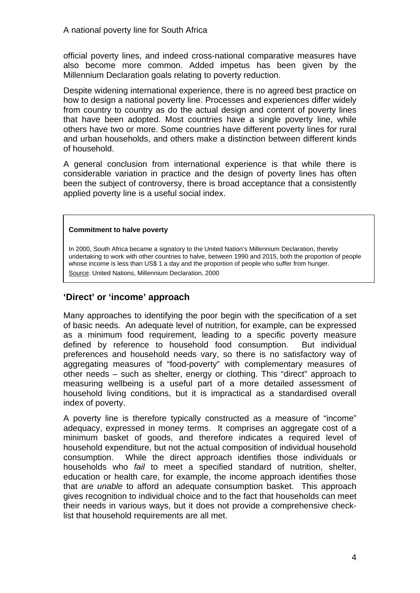official poverty lines, and indeed cross-national comparative measures have also become more common. Added impetus has been given by the Millennium Declaration goals relating to poverty reduction.

Despite widening international experience, there is no agreed best practice on how to design a national poverty line. Processes and experiences differ widely from country to country as do the actual design and content of poverty lines that have been adopted. Most countries have a single poverty line, while others have two or more. Some countries have different poverty lines for rural and urban households, and others make a distinction between different kinds of household.

A general conclusion from international experience is that while there is considerable variation in practice and the design of poverty lines has often been the subject of controversy, there is broad acceptance that a consistently applied poverty line is a useful social index.

#### **Commitment to halve poverty**

In 2000, South Africa became a signatory to the United Nation's Millennium Declaration, thereby undertaking to work with other countries to halve, between 1990 and 2015, both the proportion of people whose income is less than US\$ 1 a day and the proportion of people who suffer from hunger. Source: United Nations, Millennium Declaration, 2000

### **'Direct' or 'income' approach**

Many approaches to identifying the poor begin with the specification of a set of basic needs. An adequate level of nutrition, for example, can be expressed as a minimum food requirement, leading to a specific poverty measure defined by reference to household food consumption. But individual preferences and household needs vary, so there is no satisfactory way of aggregating measures of "food-poverty" with complementary measures of other needs – such as shelter, energy or clothing. This "direct" approach to measuring wellbeing is a useful part of a more detailed assessment of household living conditions, but it is impractical as a standardised overall index of poverty.

A poverty line is therefore typically constructed as a measure of "income" adequacy, expressed in money terms. It comprises an aggregate cost of a minimum basket of goods, and therefore indicates a required level of household expenditure, but not the actual composition of individual household consumption. While the direct approach identifies those individuals or households who *fail* to meet a specified standard of nutrition, shelter, education or health care, for example, the income approach identifies those that are *unable* to afford an adequate consumption basket. This approach gives recognition to individual choice and to the fact that households can meet their needs in various ways, but it does not provide a comprehensive checklist that household requirements are all met.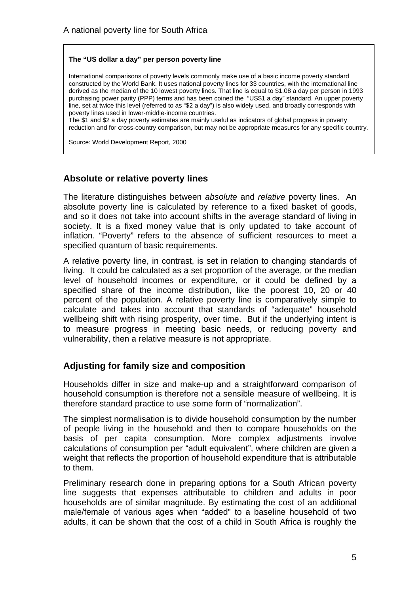#### **The "US dollar a day" per person poverty line**

International comparisons of poverty levels commonly make use of a basic income poverty standard constructed by the World Bank. It uses national poverty lines for 33 countries, with the international line derived as the median of the 10 lowest poverty lines. That line is equal to \$1.08 a day per person in 1993 purchasing power parity (PPP) terms and has been coined the "US\$1 a day" standard. An upper poverty line, set at twice this level (referred to as "\$2 a day") is also widely used, and broadly corresponds with poverty lines used in lower-middle-income countries.

The \$1 and \$2 a day poverty estimates are mainly useful as indicators of global progress in poverty reduction and for cross-country comparison, but may not be appropriate measures for any specific country.

Source: World Development Report, 2000

#### **Absolute or relative poverty lines**

The literature distinguishes between *absolute* and *relative* poverty lines. An absolute poverty line is calculated by reference to a fixed basket of goods, and so it does not take into account shifts in the average standard of living in society. It is a fixed money value that is only updated to take account of inflation. "Poverty" refers to the absence of sufficient resources to meet a specified quantum of basic requirements.

A relative poverty line, in contrast, is set in relation to changing standards of living. It could be calculated as a set proportion of the average, or the median level of household incomes or expenditure, or it could be defined by a specified share of the income distribution, like the poorest 10, 20 or 40 percent of the population. A relative poverty line is comparatively simple to calculate and takes into account that standards of "adequate" household wellbeing shift with rising prosperity, over time. But if the underlying intent is to measure progress in meeting basic needs, or reducing poverty and vulnerability, then a relative measure is not appropriate.

## **Adjusting for family size and composition**

Households differ in size and make-up and a straightforward comparison of household consumption is therefore not a sensible measure of wellbeing. It is therefore standard practice to use some form of "normalization".

The simplest normalisation is to divide household consumption by the number of people living in the household and then to compare households on the basis of per capita consumption. More complex adjustments involve calculations of consumption per "adult equivalent", where children are given a weight that reflects the proportion of household expenditure that is attributable to them.

Preliminary research done in preparing options for a South African poverty line suggests that expenses attributable to children and adults in poor households are of similar magnitude. By estimating the cost of an additional male/female of various ages when "added" to a baseline household of two adults, it can be shown that the cost of a child in South Africa is roughly the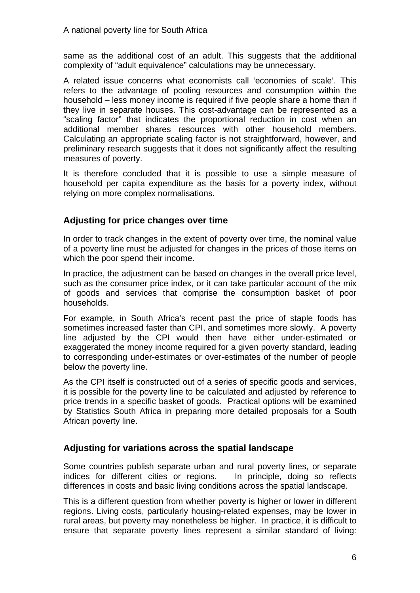same as the additional cost of an adult. This suggests that the additional complexity of "adult equivalence" calculations may be unnecessary.

A related issue concerns what economists call 'economies of scale'. This refers to the advantage of pooling resources and consumption within the household – less money income is required if five people share a home than if they live in separate houses. This cost-advantage can be represented as a "scaling factor" that indicates the proportional reduction in cost when an additional member shares resources with other household members. Calculating an appropriate scaling factor is not straightforward, however, and preliminary research suggests that it does not significantly affect the resulting measures of poverty.

It is therefore concluded that it is possible to use a simple measure of household per capita expenditure as the basis for a poverty index, without relying on more complex normalisations.

## **Adjusting for price changes over time**

In order to track changes in the extent of poverty over time, the nominal value of a poverty line must be adjusted for changes in the prices of those items on which the poor spend their income.

In practice, the adjustment can be based on changes in the overall price level, such as the consumer price index, or it can take particular account of the mix of goods and services that comprise the consumption basket of poor households.

For example, in South Africa's recent past the price of staple foods has sometimes increased faster than CPI, and sometimes more slowly. A poverty line adjusted by the CPI would then have either under-estimated or exaggerated the money income required for a given poverty standard, leading to corresponding under-estimates or over-estimates of the number of people below the poverty line.

As the CPI itself is constructed out of a series of specific goods and services, it is possible for the poverty line to be calculated and adjusted by reference to price trends in a specific basket of goods. Practical options will be examined by Statistics South Africa in preparing more detailed proposals for a South African poverty line.

## **Adjusting for variations across the spatial landscape**

Some countries publish separate urban and rural poverty lines, or separate indices for different cities or regions. In principle, doing so reflects differences in costs and basic living conditions across the spatial landscape.

This is a different question from whether poverty is higher or lower in different regions. Living costs, particularly housing-related expenses, may be lower in rural areas, but poverty may nonetheless be higher. In practice, it is difficult to ensure that separate poverty lines represent a similar standard of living: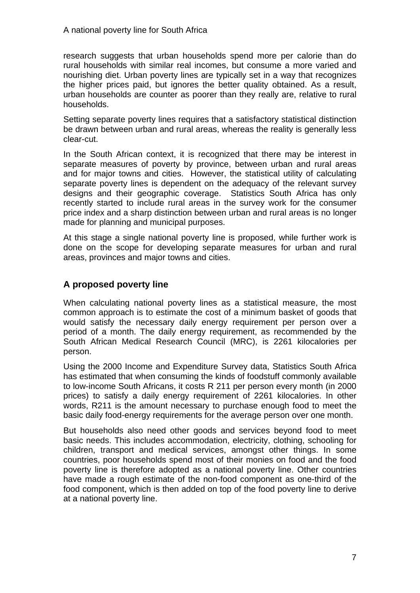research suggests that urban households spend more per calorie than do rural households with similar real incomes, but consume a more varied and nourishing diet. Urban poverty lines are typically set in a way that recognizes the higher prices paid, but ignores the better quality obtained. As a result, urban households are counter as poorer than they really are, relative to rural households.

Setting separate poverty lines requires that a satisfactory statistical distinction be drawn between urban and rural areas, whereas the reality is generally less clear-cut.

In the South African context, it is recognized that there may be interest in separate measures of poverty by province, between urban and rural areas and for major towns and cities. However, the statistical utility of calculating separate poverty lines is dependent on the adequacy of the relevant survey designs and their geographic coverage. Statistics South Africa has only recently started to include rural areas in the survey work for the consumer price index and a sharp distinction between urban and rural areas is no longer made for planning and municipal purposes.

At this stage a single national poverty line is proposed, while further work is done on the scope for developing separate measures for urban and rural areas, provinces and major towns and cities.

# **A proposed poverty line**

When calculating national poverty lines as a statistical measure, the most common approach is to estimate the cost of a minimum basket of goods that would satisfy the necessary daily energy requirement per person over a period of a month. The daily energy requirement, as recommended by the South African Medical Research Council (MRC), is 2261 kilocalories per person.

Using the 2000 Income and Expenditure Survey data, Statistics South Africa has estimated that when consuming the kinds of foodstuff commonly available to low-income South Africans, it costs R 211 per person every month (in 2000 prices) to satisfy a daily energy requirement of 2261 kilocalories. In other words, R211 is the amount necessary to purchase enough food to meet the basic daily food-energy requirements for the average person over one month.

But households also need other goods and services beyond food to meet basic needs. This includes accommodation, electricity, clothing, schooling for children, transport and medical services, amongst other things. In some countries, poor households spend most of their monies on food and the food poverty line is therefore adopted as a national poverty line. Other countries have made a rough estimate of the non-food component as one-third of the food component, which is then added on top of the food poverty line to derive at a national poverty line.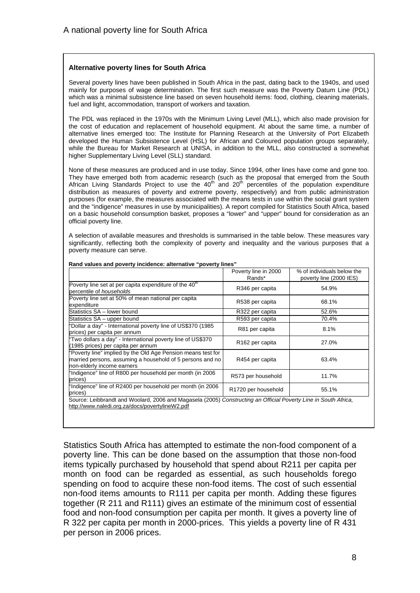#### **Alternative poverty lines for South Africa**

Several poverty lines have been published in South Africa in the past, dating back to the 1940s, and used mainly for purposes of wage determination. The first such measure was the Poverty Datum Line (PDL) which was a minimal subsistence line based on seven household items: food, clothing, cleaning materials, fuel and light, accommodation, transport of workers and taxation.

The PDL was replaced in the 1970s with the Minimum Living Level (MLL), which also made provision for the cost of education and replacement of household equipment. At about the same time, a number of alternative lines emerged too: The Institute for Planning Research at the University of Port Elizabeth developed the Human Subsistence Level (HSL) for African and Coloured population groups separately, while the Bureau for Market Research at UNISA, in addition to the MLL, also constructed a somewhat higher Supplementary Living Level (SLL) standard.

None of these measures are produced and in use today. Since 1994, other lines have come and gone too. They have emerged both from academic research (such as the proposal that emerged from the South African Living Standards Project to use the  $40<sup>th</sup>$  and  $20<sup>th</sup>$  percentiles of the population expenditure distribution as measures of poverty and extreme poverty, respectively) and from public administration purposes (for example, the measures associated with the means tests in use within the social grant system and the "indigence" measures in use by municipalities). A report compiled for Statistics South Africa, based on a basic household consumption basket, proposes a "lower" and "upper" bound for consideration as an official poverty line.

A selection of available measures and thresholds is summarised in the table below. These measures vary significantly, reflecting both the complexity of poverty and inequality and the various purposes that a poverty measure can serve.

|                                                                                                                                                                    | Poverty line in 2000<br>Rands* | % of individuals below the<br>poverty line (2000 IES) |
|--------------------------------------------------------------------------------------------------------------------------------------------------------------------|--------------------------------|-------------------------------------------------------|
| Poverty line set at per capita expenditure of the 40 <sup>th</sup><br>percentile of households                                                                     | R346 per capita                | 54.9%                                                 |
| Poverty line set at 50% of mean national per capita<br>expenditure                                                                                                 | R538 per capita                | 68.1%                                                 |
| Statistics SA - lower bound                                                                                                                                        | R322 per capita                | 52.6%                                                 |
| Statistics SA - upper bound                                                                                                                                        | R593 per capita                | 70.4%                                                 |
| "Dollar a day" - International poverty line of US\$370 (1985<br>prices) per capita per annum                                                                       | R81 per capita                 | 8.1%                                                  |
| "Two dollars a day" - International poverty line of US\$370<br>(1985 prices) per capita per annum                                                                  | R <sub>162</sub> per capita    | 27.0%                                                 |
| "Poverty line" implied by the Old Age Pension means test for<br>married persons, assuming a household of 5 persons and no<br>non-elderly income earners            | R454 per capita                | 63.4%                                                 |
| "Indigence" line of R800 per household per month (in 2006<br>prices)                                                                                               | R573 per household             | 11.7%                                                 |
| "Indigence" line of R2400 per household per month (in 2006<br>prices)                                                                                              | R1720 per household            | 55.1%                                                 |
| Source: Leibbrandt and Woolard, 2006 and Magasela (2005) Constructing an Official Poverty Line in South Africa,<br>http://www.naledi.org.za/docs/povertylineW2.pdf |                                |                                                       |

**Rand values and poverty incidence: alternative "poverty lines"** 

Statistics South Africa has attempted to estimate the non-food component of a poverty line. This can be done based on the assumption that those non-food items typically purchased by household that spend about R211 per capita per month on food can be regarded as essential, as such households forego spending on food to acquire these non-food items. The cost of such essential non-food items amounts to R111 per capita per month. Adding these figures together (R 211 and R111) gives an estimate of the minimum cost of essential food and non-food consumption per capita per month. It gives a poverty line of R 322 per capita per month in 2000-prices. This yields a poverty line of R 431 per person in 2006 prices.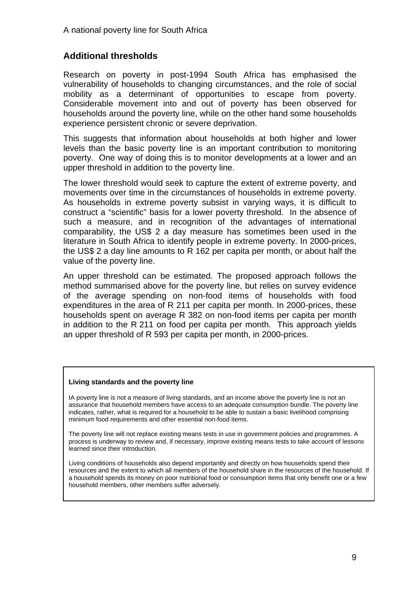# **Additional thresholds**

Research on poverty in post-1994 South Africa has emphasised the vulnerability of households to changing circumstances, and the role of social mobility as a determinant of opportunities to escape from poverty. Considerable movement into and out of poverty has been observed for households around the poverty line, while on the other hand some households experience persistent chronic or severe deprivation.

This suggests that information about households at both higher and lower levels than the basic poverty line is an important contribution to monitoring poverty. One way of doing this is to monitor developments at a lower and an upper threshold in addition to the poverty line.

The lower threshold would seek to capture the extent of extreme poverty, and movements over time in the circumstances of households in extreme poverty. As households in extreme poverty subsist in varying ways, it is difficult to construct a "scientific" basis for a lower poverty threshold. In the absence of such a measure, and in recognition of the advantages of international comparability, the US\$ 2 a day measure has sometimes been used in the literature in South Africa to identify people in extreme poverty. In 2000-prices, the US\$ 2 a day line amounts to R 162 per capita per month, or about half the value of the poverty line.

An upper threshold can be estimated. The proposed approach follows the method summarised above for the poverty line, but relies on survey evidence of the average spending on non-food items of households with food expenditures in the area of R 211 per capita per month. In 2000-prices, these households spent on average R 382 on non-food items per capita per month in addition to the R 211 on food per capita per month. This approach yields an upper threshold of R 593 per capita per month, in 2000-prices.

#### **Living standards and the poverty line**

IA poverty line is not a measure of living standards, and an income above the poverty line is not an assurance that household members have access to an adequate consumption bundle. The poverty line indicates, rather, what is required for a household to be able to sustain a basic livelihood comprising minimum food requirements and other essential non-food items.

The poverty line will not replace existing means tests in use in government policies and programmes. A process is underway to review and, if necessary, improve existing means tests to take account of lessons learned since their introduction.

Living conditions of households also depend importantly and directly on how households spend their resources and the extent to which all members of the household share in the resources of the household. If a household spends its money on poor nutritional food or consumption items that only benefit one or a few household members, other members suffer adversely.